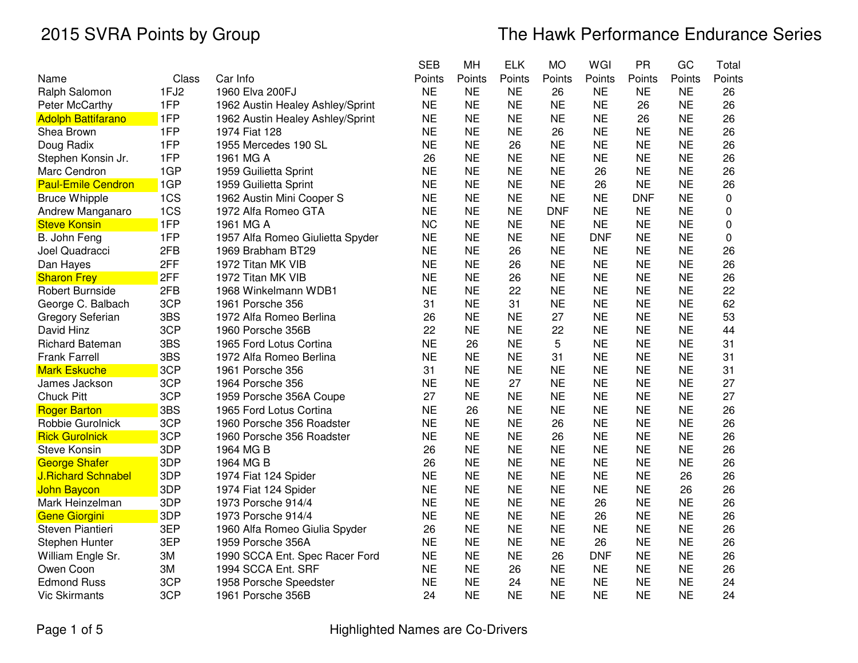|                           |       |                                  | <b>SEB</b> | MН        | <b>ELK</b> | <b>MO</b>  | WGI        | <b>PR</b>  | GC        | Total  |
|---------------------------|-------|----------------------------------|------------|-----------|------------|------------|------------|------------|-----------|--------|
| Name                      | Class | Car Info                         | Points     | Points    | Points     | Points     | Points     | Points     | Points    | Points |
| Ralph Salomon             | 1FJ2  | 1960 Elva 200FJ                  | <b>NE</b>  | <b>NE</b> | <b>NE</b>  | 26         | <b>NE</b>  | <b>NE</b>  | <b>NE</b> | 26     |
| <b>Peter McCarthy</b>     | 1FP   | 1962 Austin Healey Ashley/Sprint | <b>NE</b>  | <b>NE</b> | <b>NE</b>  | <b>NE</b>  | <b>NE</b>  | 26         | <b>NE</b> | 26     |
| <b>Adolph Battifarano</b> | 1FP   | 1962 Austin Healey Ashley/Sprint | <b>NE</b>  | <b>NE</b> | <b>NE</b>  | <b>NE</b>  | <b>NE</b>  | 26         | <b>NE</b> | 26     |
| Shea Brown                | 1FP   | 1974 Fiat 128                    | <b>NE</b>  | <b>NE</b> | <b>NE</b>  | 26         | <b>NE</b>  | <b>NE</b>  | <b>NE</b> | 26     |
| Doug Radix                | 1FP   | 1955 Mercedes 190 SL             | <b>NE</b>  | <b>NE</b> | 26         | <b>NE</b>  | <b>NE</b>  | <b>NE</b>  | <b>NE</b> | 26     |
| Stephen Konsin Jr.        | 1FP   | 1961 MG A                        | 26         | <b>NE</b> | <b>NE</b>  | <b>NE</b>  | <b>NE</b>  | <b>NE</b>  | <b>NE</b> | 26     |
| Marc Cendron              | 1GP   | 1959 Guilietta Sprint            | <b>NE</b>  | <b>NE</b> | <b>NE</b>  | <b>NE</b>  | 26         | <b>NE</b>  | <b>NE</b> | 26     |
| <b>Paul-Emile Cendron</b> | 1GP   | 1959 Guilietta Sprint            | <b>NE</b>  | <b>NE</b> | <b>NE</b>  | <b>NE</b>  | 26         | <b>NE</b>  | <b>NE</b> | 26     |
| <b>Bruce Whipple</b>      | 1CS   | 1962 Austin Mini Cooper S        | <b>NE</b>  | <b>NE</b> | <b>NE</b>  | <b>NE</b>  | <b>NE</b>  | <b>DNF</b> | <b>NE</b> | 0      |
| Andrew Manganaro          | 1CS   | 1972 Alfa Romeo GTA              | <b>NE</b>  | <b>NE</b> | <b>NE</b>  | <b>DNF</b> | <b>NE</b>  | <b>NE</b>  | <b>NE</b> | 0      |
| <b>Steve Konsin</b>       | 1FP   | 1961 MG A                        | <b>NC</b>  | <b>NE</b> | <b>NE</b>  | <b>NE</b>  | <b>NE</b>  | <b>NE</b>  | <b>NE</b> | 0      |
| B. John Feng              | 1FP   | 1957 Alfa Romeo Giulietta Spyder | <b>NE</b>  | <b>NE</b> | <b>NE</b>  | <b>NE</b>  | <b>DNF</b> | <b>NE</b>  | <b>NE</b> | 0      |
| Joel Quadracci            | 2FB   | 1969 Brabham BT29                | <b>NE</b>  | <b>NE</b> | 26         | <b>NE</b>  | <b>NE</b>  | <b>NE</b>  | <b>NE</b> | 26     |
| Dan Hayes                 | 2FF   | 1972 Titan MK VIB                | <b>NE</b>  | <b>NE</b> | 26         | <b>NE</b>  | <b>NE</b>  | <b>NE</b>  | <b>NE</b> | 26     |
| <b>Sharon Frey</b>        | 2FF   | 1972 Titan MK VIB                | <b>NE</b>  | <b>NE</b> | 26         | <b>NE</b>  | <b>NE</b>  | <b>NE</b>  | <b>NE</b> | 26     |
| Robert Burnside           | 2FB   | 1968 Winkelmann WDB1             | <b>NE</b>  | <b>NE</b> | 22         | <b>NE</b>  | <b>NE</b>  | <b>NE</b>  | <b>NE</b> | 22     |
| George C. Balbach         | 3CP   | 1961 Porsche 356                 | 31         | <b>NE</b> | 31         | <b>NE</b>  | <b>NE</b>  | <b>NE</b>  | <b>NE</b> | 62     |
| <b>Gregory Seferian</b>   | 3BS   | 1972 Alfa Romeo Berlina          | 26         | <b>NE</b> | <b>NE</b>  | 27         | <b>NE</b>  | <b>NE</b>  | <b>NE</b> | 53     |
| David Hinz                | 3CP   | 1960 Porsche 356B                | 22         | <b>NE</b> | <b>NE</b>  | 22         | <b>NE</b>  | <b>NE</b>  | <b>NE</b> | 44     |
| <b>Richard Bateman</b>    | 3BS   | 1965 Ford Lotus Cortina          | <b>NE</b>  | 26        | <b>NE</b>  | 5          | <b>NE</b>  | <b>NE</b>  | <b>NE</b> | 31     |
| <b>Frank Farrell</b>      | 3BS   | 1972 Alfa Romeo Berlina          | <b>NE</b>  | <b>NE</b> | <b>NE</b>  | 31         | <b>NE</b>  | <b>NE</b>  | <b>NE</b> | 31     |
| <b>Mark Eskuche</b>       | 3CP   | 1961 Porsche 356                 | 31         | <b>NE</b> | <b>NE</b>  | <b>NE</b>  | <b>NE</b>  | <b>NE</b>  | <b>NE</b> | 31     |
| James Jackson             | 3CP   | 1964 Porsche 356                 | <b>NE</b>  | <b>NE</b> | 27         | <b>NE</b>  | <b>NE</b>  | <b>NE</b>  | <b>NE</b> | 27     |
| <b>Chuck Pitt</b>         | 3CP   | 1959 Porsche 356A Coupe          | 27         | <b>NE</b> | <b>NE</b>  | <b>NE</b>  | <b>NE</b>  | <b>NE</b>  | <b>NE</b> | 27     |
| <b>Roger Barton</b>       | 3BS   | 1965 Ford Lotus Cortina          | <b>NE</b>  | 26        | <b>NE</b>  | <b>NE</b>  | <b>NE</b>  | <b>NE</b>  | <b>NE</b> | 26     |
| Robbie Gurolnick          | 3CP   | 1960 Porsche 356 Roadster        | <b>NE</b>  | <b>NE</b> | <b>NE</b>  | 26         | <b>NE</b>  | <b>NE</b>  | <b>NE</b> | 26     |
| <b>Rick Gurolnick</b>     | 3CP   | 1960 Porsche 356 Roadster        | <b>NE</b>  | <b>NE</b> | <b>NE</b>  | 26         | <b>NE</b>  | <b>NE</b>  | <b>NE</b> | 26     |
| <b>Steve Konsin</b>       | 3DP   | 1964 MG B                        | 26         | <b>NE</b> | <b>NE</b>  | <b>NE</b>  | <b>NE</b>  | <b>NE</b>  | <b>NE</b> | 26     |
| <b>George Shafer</b>      | 3DP   | 1964 MG B                        | 26         | <b>NE</b> | <b>NE</b>  | <b>NE</b>  | <b>NE</b>  | <b>NE</b>  | <b>NE</b> | 26     |
| <b>J.Richard Schnabel</b> | 3DP   | 1974 Fiat 124 Spider             | <b>NE</b>  | <b>NE</b> | <b>NE</b>  | <b>NE</b>  | <b>NE</b>  | <b>NE</b>  | 26        | 26     |
| John Baycon               | 3DP   | 1974 Fiat 124 Spider             | <b>NE</b>  | <b>NE</b> | <b>NE</b>  | <b>NE</b>  | <b>NE</b>  | <b>NE</b>  | 26        | 26     |
| Mark Heinzelman           | 3DP   | 1973 Porsche 914/4               | <b>NE</b>  | <b>NE</b> | <b>NE</b>  | <b>NE</b>  | 26         | <b>NE</b>  | <b>NE</b> | 26     |
| <b>Gene Giorgini</b>      | 3DP   | 1973 Porsche 914/4               | <b>NE</b>  | <b>NE</b> | <b>NE</b>  | <b>NE</b>  | 26         | <b>NE</b>  | <b>NE</b> | 26     |
| Steven Piantieri          | 3EP   | 1960 Alfa Romeo Giulia Spyder    | 26         | <b>NE</b> | <b>NE</b>  | <b>NE</b>  | <b>NE</b>  | <b>NE</b>  | <b>NE</b> | 26     |
| Stephen Hunter            | 3EP   | 1959 Porsche 356A                | <b>NE</b>  | <b>NE</b> | <b>NE</b>  | <b>NE</b>  | 26         | <b>NE</b>  | <b>NE</b> | 26     |
| William Engle Sr.         | 3M    | 1990 SCCA Ent. Spec Racer Ford   | <b>NE</b>  | <b>NE</b> | <b>NE</b>  | 26         | <b>DNF</b> | <b>NE</b>  | <b>NE</b> | 26     |
| Owen Coon                 | ЗM    | 1994 SCCA Ent. SRF               | <b>NE</b>  | <b>NE</b> | 26         | <b>NE</b>  | <b>NE</b>  | <b>NE</b>  | <b>NE</b> | 26     |
| <b>Edmond Russ</b>        | 3CP   | 1958 Porsche Speedster           | <b>NE</b>  | <b>NE</b> | 24         | <b>NE</b>  | <b>NE</b>  | <b>NE</b>  | <b>NE</b> | 24     |
| <b>Vic Skirmants</b>      | 3CP   | 1961 Porsche 356B                | 24         | <b>NE</b> | <b>NE</b>  | <b>NE</b>  | <b>NE</b>  | <b>NE</b>  | <b>NE</b> | 24     |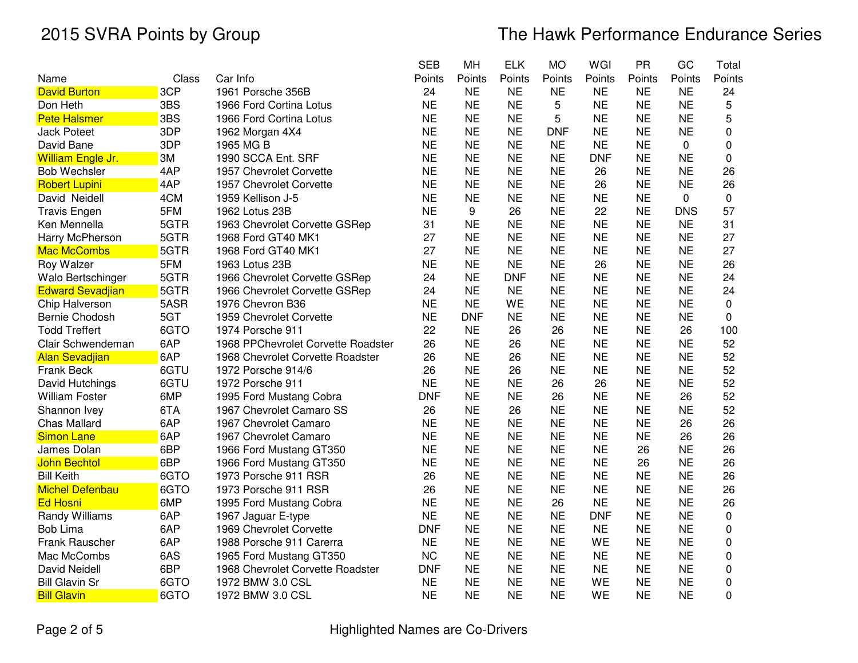|                         |       |                                    | SEB        | МH         | <b>ELK</b> | МO         | WGI        | <b>PR</b> | GC          | Total       |
|-------------------------|-------|------------------------------------|------------|------------|------------|------------|------------|-----------|-------------|-------------|
| Name                    | Class | Car Info                           | Points     | Points     | Points     | Points     | Points     | Points    | Points      | Points      |
| <b>David Burton</b>     | 3CP   | 1961 Porsche 356B                  | 24         | <b>NE</b>  | <b>NE</b>  | <b>NE</b>  | <b>NE</b>  | <b>NE</b> | <b>NE</b>   | 24          |
| Don Heth                | 3BS   | 1966 Ford Cortina Lotus            | <b>NE</b>  | <b>NE</b>  | <b>NE</b>  | 5          | <b>NE</b>  | <b>NE</b> | <b>NE</b>   | 5           |
| <b>Pete Halsmer</b>     | 3BS   | 1966 Ford Cortina Lotus            | <b>NE</b>  | <b>NE</b>  | <b>NE</b>  | 5          | <b>NE</b>  | <b>NE</b> | <b>NE</b>   | 5           |
| <b>Jack Poteet</b>      | 3DP   | 1962 Morgan 4X4                    | <b>NE</b>  | <b>NE</b>  | <b>NE</b>  | <b>DNF</b> | <b>NE</b>  | <b>NE</b> | <b>NE</b>   | 0           |
| David Bane              | 3DP   | 1965 MG B                          | <b>NE</b>  | <b>NE</b>  | <b>NE</b>  | <b>NE</b>  | <b>NE</b>  | <b>NE</b> | 0           | 0           |
| William Engle Jr.       | 3M    | 1990 SCCA Ent. SRF                 | <b>NE</b>  | <b>NE</b>  | <b>NE</b>  | <b>NE</b>  | <b>DNF</b> | <b>NE</b> | <b>NE</b>   | 0           |
| <b>Bob Wechsler</b>     | 4AP   | 1957 Chevrolet Corvette            | <b>NE</b>  | <b>NE</b>  | <b>NE</b>  | <b>NE</b>  | 26         | <b>NE</b> | <b>NE</b>   | 26          |
| <b>Robert Lupini</b>    | 4AP   | 1957 Chevrolet Corvette            | <b>NE</b>  | <b>NE</b>  | <b>NE</b>  | <b>NE</b>  | 26         | <b>NE</b> | <b>NE</b>   | 26          |
| David Neidell           | 4CM   | 1959 Kellison J-5                  | <b>NE</b>  | <b>NE</b>  | <b>NE</b>  | <b>NE</b>  | <b>NE</b>  | <b>NE</b> | $\mathbf 0$ | $\mathbf 0$ |
| <b>Travis Engen</b>     | 5FM   | 1962 Lotus 23B                     | <b>NE</b>  | 9          | 26         | <b>NE</b>  | 22         | <b>NE</b> | <b>DNS</b>  | 57          |
| Ken Mennella            | 5GTR  | 1963 Chevrolet Corvette GSRep      | 31         | <b>NE</b>  | <b>NE</b>  | <b>NE</b>  | <b>NE</b>  | <b>NE</b> | <b>NE</b>   | 31          |
| Harry McPherson         | 5GTR  | 1968 Ford GT40 MK1                 | 27         | <b>NE</b>  | <b>NE</b>  | <b>NE</b>  | <b>NE</b>  | <b>NE</b> | <b>NE</b>   | 27          |
| <b>Mac McCombs</b>      | 5GTR  | 1968 Ford GT40 MK1                 | 27         | <b>NE</b>  | <b>NE</b>  | <b>NE</b>  | <b>NE</b>  | <b>NE</b> | <b>NE</b>   | 27          |
| Roy Walzer              | 5FM   | 1963 Lotus 23B                     | <b>NE</b>  | <b>NE</b>  | <b>NE</b>  | <b>NE</b>  | 26         | <b>NE</b> | <b>NE</b>   | 26          |
| Walo Bertschinger       | 5GTR  | 1966 Chevrolet Corvette GSRep      | 24         | <b>NE</b>  | <b>DNF</b> | <b>NE</b>  | <b>NE</b>  | <b>NE</b> | <b>NE</b>   | 24          |
| <b>Edward Sevadjian</b> | 5GTR  | 1966 Chevrolet Corvette GSRep      | 24         | <b>NE</b>  | <b>NE</b>  | <b>NE</b>  | <b>NE</b>  | <b>NE</b> | <b>NE</b>   | 24          |
| Chip Halverson          | 5ASR  | 1976 Chevron B36                   | <b>NE</b>  | <b>NE</b>  | WE         | <b>NE</b>  | <b>NE</b>  | <b>NE</b> | <b>NE</b>   | 0           |
| Bernie Chodosh          | 5GT   | 1959 Chevrolet Corvette            | <b>NE</b>  | <b>DNF</b> | <b>NE</b>  | <b>NE</b>  | <b>NE</b>  | <b>NE</b> | <b>NE</b>   | 0           |
| <b>Todd Treffert</b>    | 6GTO  | 1974 Porsche 911                   | 22         | <b>NE</b>  | 26         | 26         | <b>NE</b>  | <b>NE</b> | 26          | 100         |
| Clair Schwendeman       | 6AP   | 1968 PPChevrolet Corvette Roadster | 26         | <b>NE</b>  | 26         | <b>NE</b>  | <b>NE</b>  | <b>NE</b> | <b>NE</b>   | 52          |
| <b>Alan Sevadjian</b>   | 6AP   | 1968 Chevrolet Corvette Roadster   | 26         | <b>NE</b>  | 26         | <b>NE</b>  | <b>NE</b>  | <b>NE</b> | <b>NE</b>   | 52          |
| Frank Beck              | 6GTU  | 1972 Porsche 914/6                 | 26         | <b>NE</b>  | 26         | <b>NE</b>  | <b>NE</b>  | <b>NE</b> | <b>NE</b>   | 52          |
| David Hutchings         | 6GTU  | 1972 Porsche 911                   | <b>NE</b>  | <b>NE</b>  | <b>NE</b>  | 26         | 26         | <b>NE</b> | <b>NE</b>   | 52          |
| <b>William Foster</b>   | 6MP   | 1995 Ford Mustang Cobra            | <b>DNF</b> | <b>NE</b>  | <b>NE</b>  | 26         | <b>NE</b>  | <b>NE</b> | 26          | 52          |
| Shannon Ivey            | 6TA   | 1967 Chevrolet Camaro SS           | 26         | <b>NE</b>  | 26         | <b>NE</b>  | <b>NE</b>  | <b>NE</b> | <b>NE</b>   | 52          |
| <b>Chas Mallard</b>     | 6AP   | 1967 Chevrolet Camaro              | <b>NE</b>  | <b>NE</b>  | <b>NE</b>  | <b>NE</b>  | <b>NE</b>  | <b>NE</b> | 26          | 26          |
| <b>Simon Lane</b>       | 6AP   | 1967 Chevrolet Camaro              | <b>NE</b>  | <b>NE</b>  | <b>NE</b>  | <b>NE</b>  | <b>NE</b>  | <b>NE</b> | 26          | 26          |
| James Dolan             | 6BP   | 1966 Ford Mustang GT350            | <b>NE</b>  | <b>NE</b>  | <b>NE</b>  | <b>NE</b>  | <b>NE</b>  | 26        | <b>NE</b>   | 26          |
| <b>John Bechtol</b>     | 6BP   | 1966 Ford Mustang GT350            | <b>NE</b>  | <b>NE</b>  | <b>NE</b>  | <b>NE</b>  | <b>NE</b>  | 26        | <b>NE</b>   | 26          |
| <b>Bill Keith</b>       | 6GTO  | 1973 Porsche 911 RSR               | 26         | <b>NE</b>  | <b>NE</b>  | <b>NE</b>  | <b>NE</b>  | <b>NE</b> | <b>NE</b>   | 26          |
| <b>Michel Defenbau</b>  | 6GTO  | 1973 Porsche 911 RSR               | 26         | <b>NE</b>  | <b>NE</b>  | <b>NE</b>  | <b>NE</b>  | <b>NE</b> | <b>NE</b>   | 26          |
| <b>Ed Hosni</b>         | 6MP   | 1995 Ford Mustang Cobra            | <b>NE</b>  | <b>NE</b>  | <b>NE</b>  | 26         | <b>NE</b>  | <b>NE</b> | <b>NE</b>   | 26          |
| Randy Williams          | 6AP   | 1967 Jaguar E-type                 | <b>NE</b>  | <b>NE</b>  | <b>NE</b>  | <b>NE</b>  | <b>DNF</b> | <b>NE</b> | <b>NE</b>   | 0           |
| <b>Bob Lima</b>         | 6AP   | 1969 Chevrolet Corvette            | <b>DNF</b> | <b>NE</b>  | <b>NE</b>  | <b>NE</b>  | <b>NE</b>  | <b>NE</b> | <b>NE</b>   | 0           |
| Frank Rauscher          | 6AP   | 1988 Porsche 911 Carerra           | <b>NE</b>  | <b>NE</b>  | <b>NE</b>  | <b>NE</b>  | WE         | <b>NE</b> | <b>NE</b>   | 0           |
| Mac McCombs             | 6AS   | 1965 Ford Mustang GT350            | <b>NC</b>  | <b>NE</b>  | <b>NE</b>  | <b>NE</b>  | <b>NE</b>  | <b>NE</b> | <b>NE</b>   | 0           |
| David Neidell           | 6BP   | 1968 Chevrolet Corvette Roadster   | <b>DNF</b> | <b>NE</b>  | <b>NE</b>  | <b>NE</b>  | <b>NE</b>  | <b>NE</b> | <b>NE</b>   | $\mathbf 0$ |
| <b>Bill Glavin Sr</b>   | 6GTO  | 1972 BMW 3.0 CSL                   | <b>NE</b>  | <b>NE</b>  | <b>NE</b>  | <b>NE</b>  | WE         | <b>NE</b> | <b>NE</b>   | 0           |
| <b>Bill Glavin</b>      | 6GTO  | 1972 BMW 3.0 CSL                   | <b>NE</b>  | <b>NE</b>  | <b>NE</b>  | <b>NE</b>  | WE         | <b>NE</b> | <b>NE</b>   | 0           |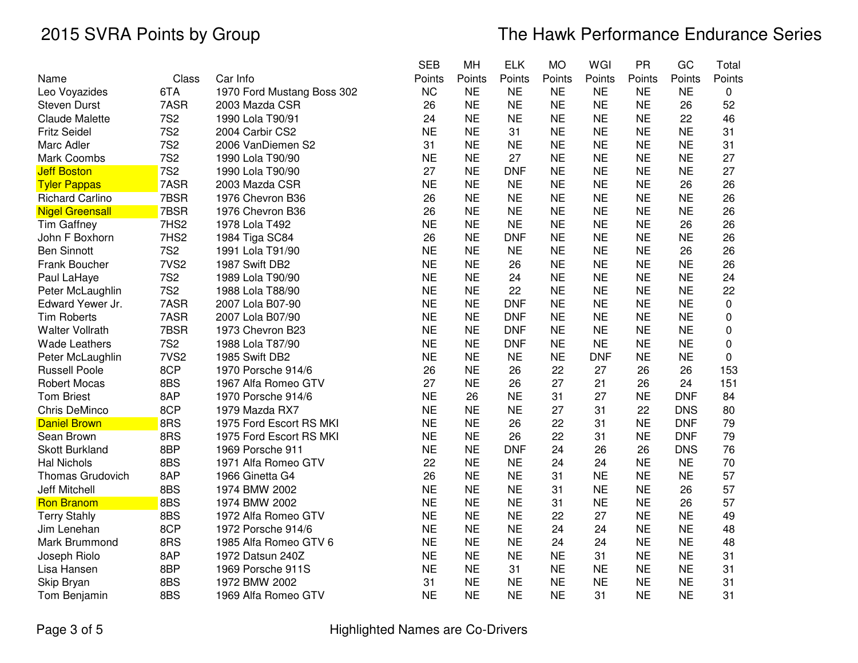|                         |                  |                            | SEB       | MН        | <b>ELK</b> | МO        | WGI        | <b>PR</b> | GC         | Total       |
|-------------------------|------------------|----------------------------|-----------|-----------|------------|-----------|------------|-----------|------------|-------------|
| Name                    | Class            | Car Info                   | Points    | Points    | Points     | Points    | Points     | Points    | Points     | Points      |
| Leo Voyazides           | 6TA              | 1970 Ford Mustang Boss 302 | <b>NC</b> | <b>NE</b> | <b>NE</b>  | <b>NE</b> | <b>NE</b>  | <b>NE</b> | <b>NE</b>  | 0           |
| <b>Steven Durst</b>     | 7ASR             | 2003 Mazda CSR             | 26        | <b>NE</b> | <b>NE</b>  | <b>NE</b> | <b>NE</b>  | <b>NE</b> | 26         | 52          |
| <b>Claude Malette</b>   | <b>7S2</b>       | 1990 Lola T90/91           | 24        | <b>NE</b> | <b>NE</b>  | <b>NE</b> | <b>NE</b>  | <b>NE</b> | 22         | 46          |
| <b>Fritz Seidel</b>     | <b>7S2</b>       | 2004 Carbir CS2            | <b>NE</b> | <b>NE</b> | 31         | <b>NE</b> | <b>NE</b>  | <b>NE</b> | <b>NE</b>  | 31          |
| Marc Adler              | <b>7S2</b>       | 2006 VanDiemen S2          | 31        | <b>NE</b> | <b>NE</b>  | <b>NE</b> | <b>NE</b>  | <b>NE</b> | <b>NE</b>  | 31          |
| Mark Coombs             | <b>7S2</b>       | 1990 Lola T90/90           | <b>NE</b> | <b>NE</b> | 27         | <b>NE</b> | <b>NE</b>  | <b>NE</b> | <b>NE</b>  | 27          |
| <b>Jeff Boston</b>      | <b>7S2</b>       | 1990 Lola T90/90           | 27        | <b>NE</b> | <b>DNF</b> | <b>NE</b> | <b>NE</b>  | <b>NE</b> | <b>NE</b>  | 27          |
| <b>Tyler Pappas</b>     | 7ASR             | 2003 Mazda CSR             | <b>NE</b> | <b>NE</b> | <b>NE</b>  | <b>NE</b> | <b>NE</b>  | <b>NE</b> | 26         | 26          |
| <b>Richard Carlino</b>  | 7BSR             | 1976 Chevron B36           | 26        | <b>NE</b> | <b>NE</b>  | <b>NE</b> | <b>NE</b>  | <b>NE</b> | <b>NE</b>  | 26          |
| <b>Nigel Greensall</b>  | 7BSR             | 1976 Chevron B36           | 26        | <b>NE</b> | <b>NE</b>  | <b>NE</b> | <b>NE</b>  | <b>NE</b> | <b>NE</b>  | 26          |
| <b>Tim Gaffney</b>      | 7HS2             | 1978 Lola T492             | <b>NE</b> | <b>NE</b> | <b>NE</b>  | <b>NE</b> | <b>NE</b>  | <b>NE</b> | 26         | 26          |
| John F Boxhorn          | 7HS2             | 1984 Tiga SC84             | 26        | <b>NE</b> | <b>DNF</b> | <b>NE</b> | <b>NE</b>  | <b>NE</b> | <b>NE</b>  | 26          |
| <b>Ben Sinnott</b>      | <b>7S2</b>       | 1991 Lola T91/90           | <b>NE</b> | <b>NE</b> | <b>NE</b>  | <b>NE</b> | <b>NE</b>  | <b>NE</b> | 26         | 26          |
| Frank Boucher           | 7VS <sub>2</sub> | 1987 Swift DB2             | <b>NE</b> | <b>NE</b> | 26         | <b>NE</b> | <b>NE</b>  | <b>NE</b> | <b>NE</b>  | 26          |
| Paul LaHaye             | <b>7S2</b>       | 1989 Lola T90/90           | <b>NE</b> | <b>NE</b> | 24         | <b>NE</b> | <b>NE</b>  | <b>NE</b> | <b>NE</b>  | 24          |
| Peter McLaughlin        | <b>7S2</b>       | 1988 Lola T88/90           | <b>NE</b> | <b>NE</b> | 22         | <b>NE</b> | <b>NE</b>  | <b>NE</b> | <b>NE</b>  | 22          |
| Edward Yewer Jr.        | 7ASR             | 2007 Lola B07-90           | <b>NE</b> | <b>NE</b> | <b>DNF</b> | <b>NE</b> | <b>NE</b>  | <b>NE</b> | <b>NE</b>  | $\pmb{0}$   |
| <b>Tim Roberts</b>      | 7ASR             | 2007 Lola B07/90           | <b>NE</b> | <b>NE</b> | <b>DNF</b> | <b>NE</b> | <b>NE</b>  | <b>NE</b> | <b>NE</b>  | 0           |
| <b>Walter Vollrath</b>  | 7BSR             | 1973 Chevron B23           | <b>NE</b> | <b>NE</b> | <b>DNF</b> | <b>NE</b> | <b>NE</b>  | <b>NE</b> | <b>NE</b>  | 0           |
| <b>Wade Leathers</b>    | <b>7S2</b>       | 1988 Lola T87/90           | <b>NE</b> | <b>NE</b> | <b>DNF</b> | <b>NE</b> | <b>NE</b>  | <b>NE</b> | <b>NE</b>  | $\pmb{0}$   |
| Peter McLaughlin        | 7VS <sub>2</sub> | 1985 Swift DB2             | <b>NE</b> | <b>NE</b> | <b>NE</b>  | <b>NE</b> | <b>DNF</b> | <b>NE</b> | <b>NE</b>  | $\mathbf 0$ |
| <b>Russell Poole</b>    | 8CP              | 1970 Porsche 914/6         | 26        | <b>NE</b> | 26         | 22        | 27         | 26        | 26         | 153         |
| <b>Robert Mocas</b>     | 8BS              | 1967 Alfa Romeo GTV        | 27        | <b>NE</b> | 26         | 27        | 21         | 26        | 24         | 151         |
| <b>Tom Briest</b>       | 8AP              | 1970 Porsche 914/6         | <b>NE</b> | 26        | <b>NE</b>  | 31        | 27         | <b>NE</b> | <b>DNF</b> | 84          |
| Chris DeMinco           | 8CP              | 1979 Mazda RX7             | <b>NE</b> | <b>NE</b> | <b>NE</b>  | 27        | 31         | 22        | <b>DNS</b> | 80          |
| <b>Daniel Brown</b>     | 8RS              | 1975 Ford Escort RS MKI    | <b>NE</b> | <b>NE</b> | 26         | 22        | 31         | <b>NE</b> | <b>DNF</b> | 79          |
| Sean Brown              | 8RS              | 1975 Ford Escort RS MKI    | <b>NE</b> | <b>NE</b> | 26         | 22        | 31         | <b>NE</b> | <b>DNF</b> | 79          |
| <b>Skott Burkland</b>   | 8BP              | 1969 Porsche 911           | <b>NE</b> | <b>NE</b> | <b>DNF</b> | 24        | 26         | 26        | <b>DNS</b> | 76          |
| <b>Hal Nichols</b>      | 8BS              | 1971 Alfa Romeo GTV        | 22        | <b>NE</b> | <b>NE</b>  | 24        | 24         | <b>NE</b> | <b>NE</b>  | 70          |
| <b>Thomas Grudovich</b> | 8AP              | 1966 Ginetta G4            | 26        | <b>NE</b> | <b>NE</b>  | 31        | <b>NE</b>  | <b>NE</b> | <b>NE</b>  | 57          |
| <b>Jeff Mitchell</b>    | 8BS              | 1974 BMW 2002              | <b>NE</b> | <b>NE</b> | <b>NE</b>  | 31        | <b>NE</b>  | <b>NE</b> | 26         | 57          |
| <b>Ron Branom</b>       | 8BS              | 1974 BMW 2002              | <b>NE</b> | <b>NE</b> | <b>NE</b>  | 31        | <b>NE</b>  | <b>NE</b> | 26         | 57          |
| <b>Terry Stahly</b>     | 8BS              | 1972 Alfa Romeo GTV        | <b>NE</b> | <b>NE</b> | <b>NE</b>  | 22        | 27         | <b>NE</b> | <b>NE</b>  | 49          |
| Jim Lenehan             | 8CP              | 1972 Porsche 914/6         | <b>NE</b> | <b>NE</b> | <b>NE</b>  | 24        | 24         | <b>NE</b> | <b>NE</b>  | 48          |
| Mark Brummond           | 8RS              | 1985 Alfa Romeo GTV 6      | <b>NE</b> | <b>NE</b> | <b>NE</b>  | 24        | 24         | <b>NE</b> | <b>NE</b>  | 48          |
| Joseph Riolo            | 8AP              | 1972 Datsun 240Z           | <b>NE</b> | <b>NE</b> | <b>NE</b>  | <b>NE</b> | 31         | <b>NE</b> | <b>NE</b>  | 31          |
| Lisa Hansen             | 8BP              | 1969 Porsche 911S          | <b>NE</b> | <b>NE</b> | 31         | <b>NE</b> | <b>NE</b>  | <b>NE</b> | <b>NE</b>  | 31          |
| Skip Bryan              | 8BS              | 1972 BMW 2002              | 31        | <b>NE</b> | <b>NE</b>  | <b>NE</b> | <b>NE</b>  | <b>NE</b> | <b>NE</b>  | 31          |
| Tom Benjamin            | 8BS              | 1969 Alfa Romeo GTV        | <b>NE</b> | <b>NE</b> | <b>NE</b>  | <b>NE</b> | 31         | <b>NE</b> | <b>NE</b>  | 31          |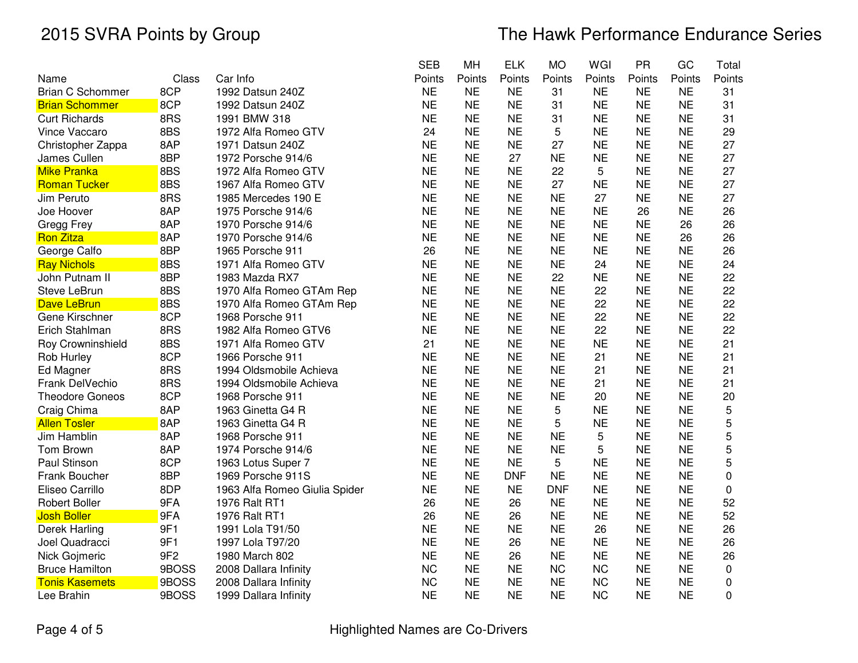# 2015 SVRA Points by Group The Hawk Performance Endurance Series

|                         |                 |                               | <b>SEB</b> | MH        | <b>ELK</b> | <b>MO</b>  | WGI       | <b>PR</b> | GC        | Total     |
|-------------------------|-----------------|-------------------------------|------------|-----------|------------|------------|-----------|-----------|-----------|-----------|
| Name                    | Class           | Car Info                      | Points     | Points    | Points     | Points     | Points    | Points    | Points    | Points    |
| <b>Brian C Schommer</b> | 8CP             | 1992 Datsun 240Z              | <b>NE</b>  | <b>NE</b> | <b>NE</b>  | 31         | <b>NE</b> | <b>NE</b> | <b>NE</b> | 31        |
| <b>Brian Schommer</b>   | 8CP             | 1992 Datsun 240Z              | <b>NE</b>  | <b>NE</b> | <b>NE</b>  | 31         | <b>NE</b> | <b>NE</b> | <b>NE</b> | 31        |
| <b>Curt Richards</b>    | 8RS             | 1991 BMW 318                  | <b>NE</b>  | <b>NE</b> | <b>NE</b>  | 31         | <b>NE</b> | <b>NE</b> | <b>NE</b> | 31        |
| Vince Vaccaro           | 8BS             | 1972 Alfa Romeo GTV           | 24         | <b>NE</b> | <b>NE</b>  | 5          | <b>NE</b> | <b>NE</b> | <b>NE</b> | 29        |
| Christopher Zappa       | 8AP             | 1971 Datsun 240Z              | <b>NE</b>  | <b>NE</b> | <b>NE</b>  | 27         | <b>NE</b> | <b>NE</b> | <b>NE</b> | 27        |
| James Cullen            | 8BP             | 1972 Porsche 914/6            | <b>NE</b>  | <b>NE</b> | 27         | <b>NE</b>  | <b>NE</b> | <b>NE</b> | <b>NE</b> | 27        |
| <b>Mike Pranka</b>      | 8BS             | 1972 Alfa Romeo GTV           | <b>NE</b>  | <b>NE</b> | <b>NE</b>  | 22         | 5         | <b>NE</b> | <b>NE</b> | 27        |
| <b>Roman Tucker</b>     | 8BS             | 1967 Alfa Romeo GTV           | <b>NE</b>  | <b>NE</b> | <b>NE</b>  | 27         | <b>NE</b> | <b>NE</b> | <b>NE</b> | 27        |
| Jim Peruto              | 8RS             | 1985 Mercedes 190 E           | <b>NE</b>  | <b>NE</b> | <b>NE</b>  | <b>NE</b>  | 27        | <b>NE</b> | <b>NE</b> | 27        |
| Joe Hoover              | 8AP             | 1975 Porsche 914/6            | <b>NE</b>  | <b>NE</b> | <b>NE</b>  | <b>NE</b>  | <b>NE</b> | 26        | <b>NE</b> | 26        |
| Gregg Frey              | 8AP             | 1970 Porsche 914/6            | <b>NE</b>  | <b>NE</b> | <b>NE</b>  | <b>NE</b>  | <b>NE</b> | <b>NE</b> | 26        | 26        |
| <b>Ron Zitza</b>        | 8AP             | 1970 Porsche 914/6            | <b>NE</b>  | <b>NE</b> | <b>NE</b>  | <b>NE</b>  | <b>NE</b> | <b>NE</b> | 26        | 26        |
| George Calfo            | 8BP             | 1965 Porsche 911              | 26         | <b>NE</b> | <b>NE</b>  | <b>NE</b>  | <b>NE</b> | <b>NE</b> | <b>NE</b> | 26        |
| <b>Ray Nichols</b>      | 8BS             | 1971 Alfa Romeo GTV           | <b>NE</b>  | <b>NE</b> | <b>NE</b>  | <b>NE</b>  | 24        | <b>NE</b> | <b>NE</b> | 24        |
| John Putnam II          | 8BP             | 1983 Mazda RX7                | <b>NE</b>  | <b>NE</b> | <b>NE</b>  | 22         | <b>NE</b> | <b>NE</b> | <b>NE</b> | 22        |
| <b>Steve LeBrun</b>     | 8BS             | 1970 Alfa Romeo GTAm Rep      | <b>NE</b>  | <b>NE</b> | <b>NE</b>  | <b>NE</b>  | 22        | <b>NE</b> | <b>NE</b> | 22        |
| Dave LeBrun             | 8BS             | 1970 Alfa Romeo GTAm Rep      | <b>NE</b>  | <b>NE</b> | <b>NE</b>  | <b>NE</b>  | 22        | <b>NE</b> | <b>NE</b> | 22        |
| Gene Kirschner          | 8CP             | 1968 Porsche 911              | <b>NE</b>  | <b>NE</b> | <b>NE</b>  | <b>NE</b>  | 22        | <b>NE</b> | <b>NE</b> | 22        |
| Erich Stahlman          | 8RS             | 1982 Alfa Romeo GTV6          | <b>NE</b>  | <b>NE</b> | <b>NE</b>  | <b>NE</b>  | 22        | <b>NE</b> | <b>NE</b> | 22        |
| Roy Crowninshield       | 8BS             | 1971 Alfa Romeo GTV           | 21         | <b>NE</b> | <b>NE</b>  | <b>NE</b>  | <b>NE</b> | <b>NE</b> | <b>NE</b> | 21        |
| Rob Hurley              | 8CP             | 1966 Porsche 911              | <b>NE</b>  | <b>NE</b> | <b>NE</b>  | <b>NE</b>  | 21        | <b>NE</b> | <b>NE</b> | 21        |
| Ed Magner               | 8RS             | 1994 Oldsmobile Achieva       | <b>NE</b>  | <b>NE</b> | <b>NE</b>  | <b>NE</b>  | 21        | <b>NE</b> | <b>NE</b> | 21        |
| Frank DelVechio         | 8RS             | 1994 Oldsmobile Achieva       | <b>NE</b>  | <b>NE</b> | <b>NE</b>  | <b>NE</b>  | 21        | <b>NE</b> | <b>NE</b> | 21        |
| <b>Theodore Goneos</b>  | 8CP             | 1968 Porsche 911              | <b>NE</b>  | <b>NE</b> | <b>NE</b>  | <b>NE</b>  | 20        | <b>NE</b> | <b>NE</b> | 20        |
| Craig Chima             | 8AP             | 1963 Ginetta G4 R             | <b>NE</b>  | <b>NE</b> | <b>NE</b>  | 5          | <b>NE</b> | <b>NE</b> | <b>NE</b> | 5         |
| <b>Allen Tosler</b>     | 8AP             | 1963 Ginetta G4 R             | <b>NE</b>  | <b>NE</b> | <b>NE</b>  | 5          | <b>NE</b> | <b>NE</b> | <b>NE</b> | 5         |
| Jim Hamblin             | 8AP             | 1968 Porsche 911              | <b>NE</b>  | <b>NE</b> | <b>NE</b>  | <b>NE</b>  | 5         | <b>NE</b> | <b>NE</b> | 5         |
| Tom Brown               | 8AP             | 1974 Porsche 914/6            | <b>NE</b>  | <b>NE</b> | <b>NE</b>  | <b>NE</b>  | 5         | <b>NE</b> | <b>NE</b> | 5         |
| Paul Stinson            | 8CP             | 1963 Lotus Super 7            | <b>NE</b>  | <b>NE</b> | <b>NE</b>  | 5          | <b>NE</b> | <b>NE</b> | <b>NE</b> | 5         |
| Frank Boucher           | 8BP             | 1969 Porsche 911S             | <b>NE</b>  | <b>NE</b> | <b>DNF</b> | <b>NE</b>  | <b>NE</b> | <b>NE</b> | <b>NE</b> | 0         |
| Eliseo Carrillo         | 8DP             | 1963 Alfa Romeo Giulia Spider | <b>NE</b>  | <b>NE</b> | <b>NE</b>  | <b>DNF</b> | <b>NE</b> | <b>NE</b> | <b>NE</b> | 0         |
| <b>Robert Boller</b>    | 9FA             | 1976 Ralt RT1                 | 26         | <b>NE</b> | 26         | <b>NE</b>  | <b>NE</b> | <b>NE</b> | <b>NE</b> | 52        |
| <b>Josh Boller</b>      | 9FA             | 1976 Ralt RT1                 | 26         | <b>NE</b> | 26         | <b>NE</b>  | <b>NE</b> | <b>NE</b> | <b>NE</b> | 52        |
| Derek Harling           | 9F1             | 1991 Lola T91/50              | <b>NE</b>  | <b>NE</b> | <b>NE</b>  | <b>NE</b>  | 26        | <b>NE</b> | <b>NE</b> | 26        |
| Joel Quadracci          | 9F1             | 1997 Lola T97/20              | <b>NE</b>  | <b>NE</b> | 26         | <b>NE</b>  | <b>NE</b> | <b>NE</b> | <b>NE</b> | 26        |
| Nick Gojmeric           | 9F <sub>2</sub> | 1980 March 802                | <b>NE</b>  | <b>NE</b> | 26         | <b>NE</b>  | <b>NE</b> | <b>NE</b> | <b>NE</b> | 26        |
| <b>Bruce Hamilton</b>   | 9BOSS           | 2008 Dallara Infinity         | <b>NC</b>  | <b>NE</b> | <b>NE</b>  | <b>NC</b>  | <b>NC</b> | <b>NE</b> | <b>NE</b> | $\pmb{0}$ |
| <b>Tonis Kasemets</b>   | 9BOSS           | 2008 Dallara Infinity         | <b>NC</b>  | <b>NE</b> | <b>NE</b>  | <b>NE</b>  | <b>NC</b> | <b>NE</b> | <b>NE</b> | 0         |
| Lee Brahin              | 9BOSS           | 1999 Dallara Infinity         | <b>NE</b>  | <b>NE</b> | <b>NE</b>  | <b>NE</b>  | <b>NC</b> | <b>NE</b> | <b>NE</b> | 0         |